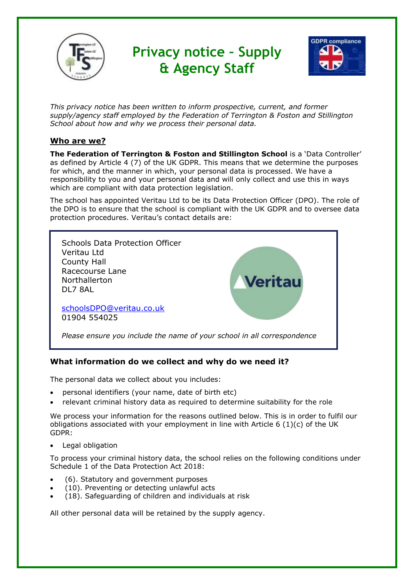

*This privacy notice has been written to inform prospective, current, and former supply/agency staff employed by the Federation of Terrington & Foston and Stillington School about how and why we process their personal data.*

# **Who are we?**

**The Federation of Terrington & Foston and Stillington School** is a 'Data Controller' as defined by Article 4 (7) of the UK GDPR. This means that we determine the purposes for which, and the manner in which, your personal data is processed. We have a responsibility to you and your personal data and will only collect and use this in ways which are compliant with data protection legislation.

The school has appointed Veritau Ltd to be its Data Protection Officer (DPO). The role of the DPO is to ensure that the school is compliant with the UK GDPR and to oversee data protection procedures. Veritau's contact details are:



## **What information do we collect and why do we need it?**

The personal data we collect about you includes:

- personal identifiers (your name, date of birth etc)
- relevant criminal history data as required to determine suitability for the role

We process your information for the reasons outlined below. This is in order to fulfil our obligations associated with your employment in line with Article 6 (1)(c) of the UK GDPR:

• Legal obligation

To process your criminal history data, the school relies on the following conditions under Schedule 1 of the Data Protection Act 2018:

- (6). Statutory and government purposes
- (10). Preventing or detecting unlawful acts
- (18). Safeguarding of children and individuals at risk

All other personal data will be retained by the supply agency.